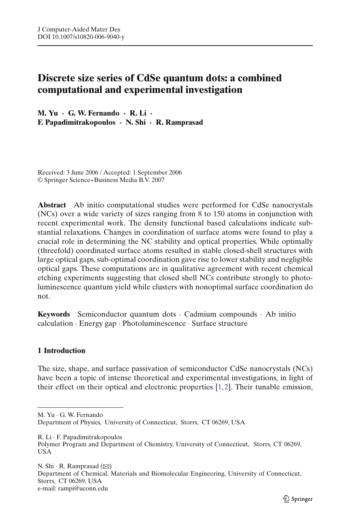# **Discrete size series of CdSe quantum dots: a combined computational and experimental investigation**

**M. Yu · G. W. Fernando · R. Li · F. Papadimitrakopoulos · N. Shi · R. Ramprasad**

Received: 3 June 2006 / Accepted: 1 September 2006 © Springer Science+Business Media B.V. 2007

**Abstract** Ab initio computational studies were performed for CdSe nanocrystals (NCs) over a wide variety of sizes ranging from 8 to 150 atoms in conjunction with recent experimental work. The density functional based calculations indicate substantial relaxations. Changes in coordination of surface atoms were found to play a crucial role in determining the NC stability and optical properties. While optimally (threefold) coordinated surface atoms resulted in stable closed-shell structures with large optical gaps, sub-optimal coordination gave rise to lower stability and negligible optical gaps. These computations are in qualitative agreement with recent chemical etching experiments suggesting that closed shell NCs contribute strongly to photoluminescence quantum yield while clusters with nonoptimal surface coordination do not.

**Keywords** Semiconductor quantum dots · Cadmium compounds · Ab initio calculation · Energy gap · Photoluminescence · Surface structure

## **1 Introduction**

The size, shape, and surface passivation of semiconductor CdSe nanocrystals (NCs) have been a topic of intense theoretical and experimental investigations, in light of their effect on their optical and electronic properties [\[1,](#page-6-0)[2\]](#page-6-1). Their tunable emission,

N. Shi  $\cdot$  R. Ramprasad ( $\boxtimes$ ) Department of Chemical, Materials and Biomolecular Engineering, University of Connecticut, Storrs, CT 06269, USA e-mail: rampi@uconn.edu

M. Yu · G. W. Fernando

Department of Physics, University of Connecticut, Storrs, CT 06269, USA

R. Li · F. Papadimitrakopoulos Polymer Program and Department of Chemistry, University of Connecticut, Storrs, CT 06269, USA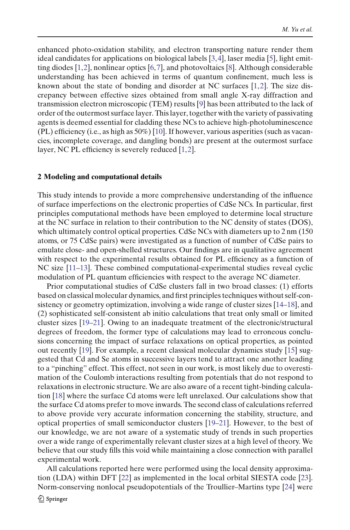enhanced photo-oxidation stability, and electron transporting nature render them ideal candidates for applications on biological labels [\[3](#page-6-2)[,4](#page-6-3)], laser media [\[5](#page-6-4)], light emitting diodes [\[1](#page-6-0)[,2\]](#page-6-1), nonlinear optics [\[6](#page-6-5),[7](#page-6-6)], and photovoltaics [\[8\]](#page-7-0). Although considerable understanding has been achieved in terms of quantum confinement, much less is known about the state of bonding and disorder at NC surfaces [\[1](#page-6-0),[2](#page-6-1)]. The size discrepancy between effective sizes obtained from small angle X-ray diffraction and transmission electron microscopic (TEM) results [\[9](#page-7-1)] has been attributed to the lack of order of the outermost surface layer. This layer, together with the variety of passivating agents is deemed essential for cladding these NCs to achieve high-photoluminescence (PL) efficiency (i.e., as high as 50%) [\[10](#page-7-2)]. If however, various asperities (such as vacancies, incomplete coverage, and dangling bonds) are present at the outermost surface layer, NC PL efficiency is severely reduced [\[1](#page-6-0),[2\]](#page-6-1).

#### **2 Modeling and computational details**

This study intends to provide a more comprehensive understanding of the influence of surface imperfections on the electronic properties of CdSe NCs. In particular, first principles computational methods have been employed to determine local structure at the NC surface in relation to their contribution to the NC density of states (DOS), which ultimately control optical properties. CdSe NCs with diameters up to 2 nm (150 atoms, or 75 CdSe pairs) were investigated as a function of number of CdSe pairs to emulate close- and open-shelled structures. Our findings are in qualitative agreement with respect to the experimental results obtained for PL efficiency as a function of NC size [\[11](#page-7-3)[–13](#page-7-4)]. These combined computational-experimental studies reveal cyclic modulation of PL quantum efficiencies with respect to the average NC diameter.

Prior computational studies of CdSe clusters fall in two broad classes: (1) efforts based on classical molecular dynamics, and first principles techniques without self-consistency or geometry optimization, involving a wide range of cluster sizes [\[14](#page-7-5)[–18](#page-7-6)], and (2) sophisticated self-consistent ab initio calculations that treat only small or limited cluster sizes [\[19](#page-7-7)[–21\]](#page-7-8). Owing to an inadequate treatment of the electronic/structural degrees of freedom, the former type of calculations may lead to erroneous conclusions concerning the impact of surface relaxations on optical properties, as pointed out recently [\[19\]](#page-7-7). For example, a recent classical molecular dynamics study [\[15](#page-7-9)] suggested that Cd and Se atoms in successive layers tend to attract one another leading to a "pinching" effect. This effect, not seen in our work, is most likely due to overestimation of the Coulomb interactions resulting from potentials that do not respond to relaxations in electronic structure. We are also aware of a recent tight-binding calculation [\[18](#page-7-6)] where the surface Cd atoms were left unrelaxed. Our calculations show that the surface Cd atoms prefer to move inwards. The second class of calculations referred to above provide very accurate information concerning the stability, structure, and optical properties of small semiconductor clusters [\[19](#page-7-7)[–21\]](#page-7-8). However, to the best of our knowledge, we are not aware of a systematic study of trends in such properties over a wide range of experimentally relevant cluster sizes at a high level of theory. We believe that our study fills this void while maintaining a close connection with parallel experimental work.

All calculations reported here were performed using the local density approximation (LDA) within DFT [\[22\]](#page-7-10) as implemented in the local orbital SIESTA code [\[23\]](#page-7-11). Norm-conserving nonlocal pseudopotentials of the Troullier–Martins type [\[24](#page-7-12)] were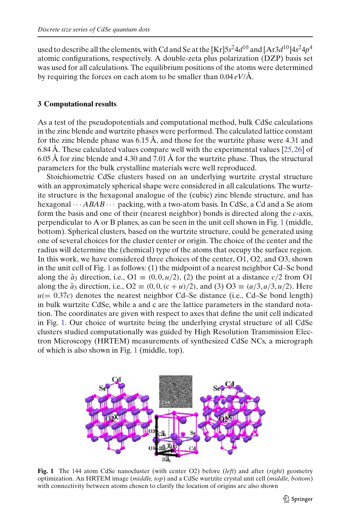used to describe all the elements, with Cd and Se at the [Kr]5*s*24*d*<sup>10</sup> and [Ar3*d*10]4*s*24*p*<sup>4</sup> atomic configurations, respectively. A double-zeta plus polarization (DZP) basis set was used for all calculations. The equilibrium positions of the atoms were determined by requiring the forces on each atom to be smaller than 0.04 *eV*/Å.

#### **3 Computational results**

As a test of the pseudopotentials and computational method, bulk CdSe calculations in the zinc blende and wurtzite phases were performed. The calculated lattice constant for the zinc blende phase was 6.15 Å, and those for the wurtzite phase were 4.31 and 6.84 Å. These calculated values compare well with the experimental values  $[25,26]$  $[25,26]$  $[25,26]$  $[25,26]$  of 6.05 Å for zinc blende and 4.30 and 7.01 Å for the wurtzite phase. Thus, the structural parameters for the bulk crystalline materials were well reproduced.

Stoichiometric CdSe clusters based on an underlying wurtzite crystal structure with an approximately spherical shape were considered in all calculations. The wurtzite structure is the hexagonal analogue of the (cubic) zinc blende structure, and has hexagonal ··· *ABAB* ··· packing, with a two-atom basis. In CdSe, a Cd and a Se atom form the basis and one of their (nearest neighbor) bonds is directed along the *c*-axis, perpendicular to A or B planes, as can be seen in the unit cell shown in Fig. [1](#page-2-0) (middle, bottom). Spherical clusters, based on the wurtzite structure, could be generated using one of several choices for the cluster center or origin. The choice of the center and the radius will determine the (chemical) type of the atoms that occupy the surface region. In this work, we have considered three choices of the center, O1, O2, and O3, shown in the unit cell of Fig. [1](#page-2-0) as follows: (1) the midpoint of a nearest neighbor Cd–Se bond along the  $\hat{a}_3$  direction, i.e., O1 =  $(0, 0, u/2)$ , (2) the point at a distance *c*/2 from O1 along the  $\hat{a}_3$  direction, i.e., O2  $\equiv (0, 0, (c + u)/2)$ , and (3) O3  $\equiv (a/3, a/3, u/2)$ . Here  $u(= 0.37c)$  denotes the nearest neighbor Cd–Se distance (i.e., Cd–Se bond length) in bulk wurtzite CdSe, while a and c are the lattice parameters in the standard notation. The coordinates are given with respect to axes that define the unit cell indicated in Fig. [1.](#page-2-0) Our choice of wurtzite being the underlying crystal structure of all CdSe clusters studied computationally was guided by High Resolution Transmission Electron Microscopy (HRTEM) measurements of synthesized CdSe NCs, a micrograph of which is also shown in Fig. [1](#page-2-0) (middle, top).



<span id="page-2-0"></span>**Fig. 1** The 144 atom CdSe nanocluster (with center O2) before (*left*) and after (*right*) geometry optimization. An HRTEM image (*middle, top*) and a CdSe wurtzite crystal unit cell (*middle, bottom*) with connectivity between atoms chosen to clarify the location of origins are also shown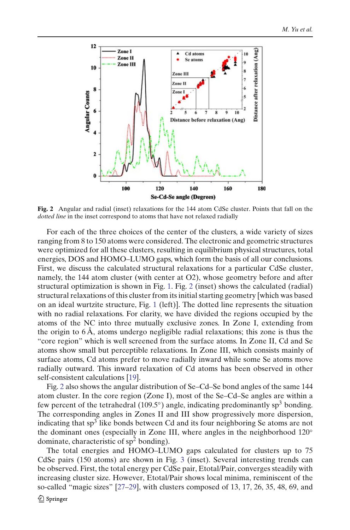

<span id="page-3-0"></span>**Fig. 2** Angular and radial (inset) relaxations for the 144 atom CdSe cluster. Points that fall on the *dotted line* in the inset correspond to atoms that have not relaxed radially

For each of the three choices of the center of the clusters, a wide variety of sizes ranging from 8 to 150 atoms were considered. The electronic and geometric structures were optimized for all these clusters, resulting in equilibrium physical structures, total energies, DOS and HOMO–LUMO gaps, which form the basis of all our conclusions. First, we discuss the calculated structural relaxations for a particular CdSe cluster, namely, the 144 atom cluster (with center at O2), whose geometry before and after structural optimization is shown in Fig. [1.](#page-2-0) Fig. [2](#page-3-0) (inset) shows the calculated (radial) structural relaxations of this cluster from its initial starting geometry [which was based on an ideal wurtzite structure, Fig. [1](#page-2-0) (left)]. The dotted line represents the situation with no radial relaxations. For clarity, we have divided the regions occupied by the atoms of the NC into three mutually exclusive zones. In Zone I, extending from the origin to 6 Å, atoms undergo negligible radial relaxations; this zone is thus the "core region" which is well screened from the surface atoms. In Zone II, Cd and Se atoms show small but perceptible relaxations. In Zone III, which consists mainly of surface atoms, Cd atoms prefer to move radially inward while some Se atoms move radially outward. This inward relaxation of Cd atoms has been observed in other self-consistent calculations [\[19](#page-7-7)].

Fig. [2](#page-3-0) also shows the angular distribution of Se–Cd–Se bond angles of the same 144 atom cluster. In the core region (Zone I), most of the Se–Cd–Se angles are within a few percent of the tetrahedral (109.5<sup>°</sup>) angle, indicating predominantly  $sp^3$  bonding. The corresponding angles in Zones II and III show progressively more dispersion, indicating that  $sp<sup>3</sup>$  like bonds between Cd and its four neighboring Se atoms are not the dominant ones (especially in Zone III, where angles in the neighborhood 120◦ dominate, characteristic of  $sp<sup>2</sup>$  bonding).

The total energies and HOMO–LUMO gaps calculated for clusters up to 75 CdSe pairs (150 atoms) are shown in Fig. [3](#page-4-0) (inset). Several interesting trends can be observed. First, the total energy per CdSe pair, Etotal/Pair, converges steadily with increasing cluster size. However, Etotal/Pair shows local minima, reminiscent of the so-called "magic sizes" [\[27](#page-7-15)[–29](#page-7-16)], with clusters composed of 13, 17, 26, 35, 48, 69, and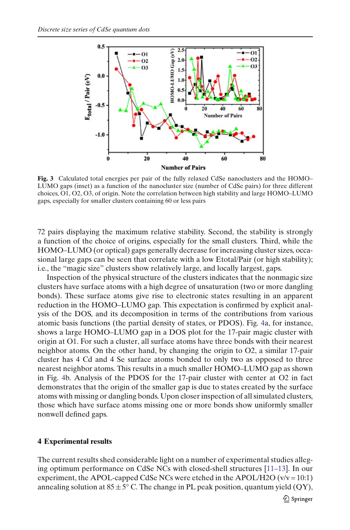

<span id="page-4-0"></span>**Fig. 3** Calculated total energies per pair of the fully relaxed CdSe nanoclusters and the HOMO– LUMO gaps (inset) as a function of the nanocluster size (number of CdSe pairs) for three different choices, O1, O2, O3, of origin. Note the correlation between high stability and large HOMO–LUMO gaps, especially for smaller clusters containing 60 or less pairs

72 pairs displaying the maximum relative stability. Second, the stability is strongly a function of the choice of origins, especially for the small clusters. Third, while the HOMO–LUMO (or optical) gaps generally decrease for increasing cluster sizes, occasional large gaps can be seen that correlate with a low Etotal/Pair (or high stability); i.e., the "magic size" clusters show relatively large, and locally largest, gaps.

Inspection of the physical structure of the clusters indicates that the nonmagic size clusters have surface atoms with a high degree of unsaturation (two or more dangling bonds). These surface atoms give rise to electronic states resulting in an apparent reduction in the HOMO–LUMO gap. This expectation is confirmed by explicit analysis of the DOS, and its decomposition in terms of the contributions from various atomic basis functions (the partial density of states, or PDOS). Fig. [4a](#page-5-0), for instance, shows a large HOMO–LUMO gap in a DOS plot for the 17-pair magic cluster with origin at O1. For such a cluster, all surface atoms have three bonds with their nearest neighbor atoms. On the other hand, by changing the origin to O2, a similar 17-pair cluster has 4 Cd and 4 Se surface atoms bonded to only two as opposed to three nearest neighbor atoms. This results in a much smaller HOMO–LUMO gap as shown in Fig. [4b](#page-5-0). Analysis of the PDOS for the 17-pair cluster with center at O2 in fact demonstrates that the origin of the smaller gap is due to states created by the surface atoms with missing or dangling bonds. Upon closer inspection of all simulated clusters, those which have surface atoms missing one or more bonds show uniformly smaller nonwell defined gaps.

#### **4 Experimental results**

The current results shed considerable light on a number of experimental studies alleging optimum performance on CdSe NCs with closed-shell structures [\[11](#page-7-3)[–13\]](#page-7-4). In our experiment, the APOL-capped CdSe NCs were etched in the APOL/H2O ( $v/v = 10:1$ ) annealing solution at  $85 \pm 5^\circ$  C. The change in PL peak position, quantum yield (QY),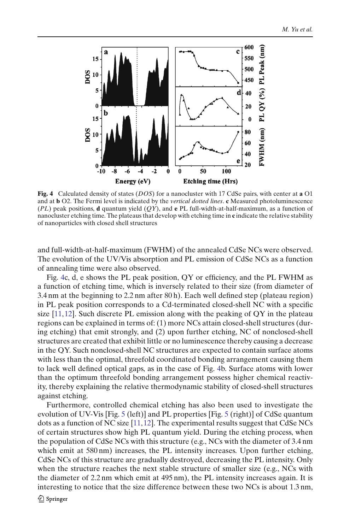

<span id="page-5-0"></span>**Fig. 4** Calculated density of states (*DOS*) for a nanocluster with 17 CdSe pairs, with center at **a** O1 and at **b** O2. The Fermi level is indicated by the *vertical dotted lines*. **c** Measured photoluminescence (*PL*) peak positions, **d** quantum yield (*QY*), and **e** PL full-width-at-half-maximum, as a function of nanocluster etching time. The plateaus that develop with etching time in **c** indicate the relative stability of nanoparticles with closed shell structures

and full-width-at-half-maximum (FWHM) of the annealed CdSe NCs were observed. The evolution of the UV/Vis absorption and PL emission of CdSe NCs as a function of annealing time were also observed.

Fig. [4c](#page-5-0), d, e shows the PL peak position, QY or efficiency, and the PL FWHM as a function of etching time, which is inversely related to their size (from diameter of 3.4 nm at the beginning to 2.2 nm after 80 h). Each well defined step (plateau region) in PL peak position corresponds to a Cd-terminated closed-shell NC with a specific size [\[11,](#page-7-3)[12\]](#page-7-17). Such discrete PL emission along with the peaking of QY in the plateau regions can be explained in terms of: (1) more NCs attain closed-shell structures (during etching) that emit strongly, and (2) upon further etching, NC of nonclosed-shell structures are created that exhibit little or no luminescence thereby causing a decrease in the QY. Such nonclosed-shell NC structures are expected to contain surface atoms with less than the optimal, threefold coordinated bonding arrangement causing them to lack well defined optical gaps, as in the case of Fig. [4b](#page-5-0). Surface atoms with lower than the optimum threefold bonding arrangement possess higher chemical reactivity, thereby explaining the relative thermodynamic stability of closed-shell structures against etching.

Furthermore, controlled chemical etching has also been used to investigate the evolution of UV-Vis [Fig. [5](#page-6-7) (left)] and PL properties [Fig. [5](#page-6-7) (right)] of CdSe quantum dots as a function of NC size [\[11](#page-7-3)[,12\]](#page-7-17). The experimental results suggest that CdSe NCs of certain structures show high PL quantum yield. During the etching process, when the population of CdSe NCs with this structure (e.g., NCs with the diameter of 3.4 nm which emit at 580 nm) increases, the PL intensity increases. Upon further etching, CdSe NCs of this structure are gradually destroyed, decreasing the PL intensity. Only when the structure reaches the next stable structure of smaller size (e.g., NCs with the diameter of 2.2 nm which emit at 495 nm), the PL intensity increases again. It is interesting to notice that the size difference between these two NCs is about 1.3 nm,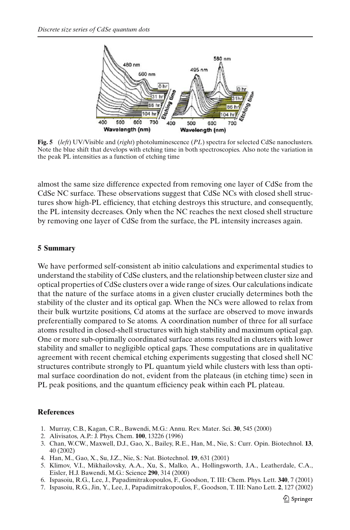

<span id="page-6-7"></span>**Fig. 5** (*left*) UV/Visible and (*right*) photoluminescence (*PL*) spectra for selected CdSe nanoclusters. Note the blue shift that develops with etching time in both spectroscopies. Also note the variation in the peak PL intensities as a function of etching time

almost the same size difference expected from removing one layer of CdSe from the CdSe NC surface. These observations suggest that CdSe NCs with closed shell structures show high-PL efficiency, that etching destroys this structure, and consequently, the PL intensity decreases. Only when the NC reaches the next closed shell structure by removing one layer of CdSe from the surface, the PL intensity increases again.

### **5 Summary**

We have performed self-consistent ab initio calculations and experimental studies to understand the stability of CdSe clusters, and the relationship between cluster size and optical properties of CdSe clusters over a wide range of sizes. Our calculations indicate that the nature of the surface atoms in a given cluster crucially determines both the stability of the cluster and its optical gap. When the NCs were allowed to relax from their bulk wurtzite positions, Cd atoms at the surface are observed to move inwards preferentially compared to Se atoms. A coordination number of three for all surface atoms resulted in closed-shell structures with high stability and maximum optical gap. One or more sub-optimally coordinated surface atoms resulted in clusters with lower stability and smaller to negligible optical gaps. These computations are in qualitative agreement with recent chemical etching experiments suggesting that closed shell NC structures contribute strongly to PL quantum yield while clusters with less than optimal surface coordination do not, evident from the plateaus (in etching time) seen in PL peak positions, and the quantum efficiency peak within each PL plateau.

#### **References**

- <span id="page-6-0"></span>1. Murray, C.B., Kagan, C.R., Bawendi, M.G.: Annu. Rev. Mater. Sci. **30**, 545 (2000)
- 2. Alivisatos, A.P.: J. Phys. Chem. **100**, 13226 (1996)
- <span id="page-6-2"></span><span id="page-6-1"></span>3. Chan, W.CW., Maxwell, D.J., Gao, X., Bailey, R.E., Han, M., Nie, S.: Curr. Opin. Biotechnol. **13**, 40 (2002)
- <span id="page-6-3"></span>4. Han, M., Gao, X., Su, J.Z., Nie, S.: Nat. Biotechnol. **19**, 631 (2001)
- <span id="page-6-4"></span>5. Klimov, V.I., Mikhailovsky, A.A., Xu, S., Malko, A., Hollingsworth, J.A., Leatherdale, C.A., Eisler, H.J. Bawendi, M.G.: Science **290**, 314 (2000)
- <span id="page-6-5"></span>6. Ispasoiu, R.G., Lee, J., Papadimitrakopoulos, F., Goodson, T. III: Chem. Phys. Lett. **340**, 7 (2001)
- <span id="page-6-6"></span>7. Ispasoiu, R.G., Jin, Y., Lee, J., Papadimitrakopoulos, F., Goodson, T. III: Nano Lett. **2**, 127 (2002)